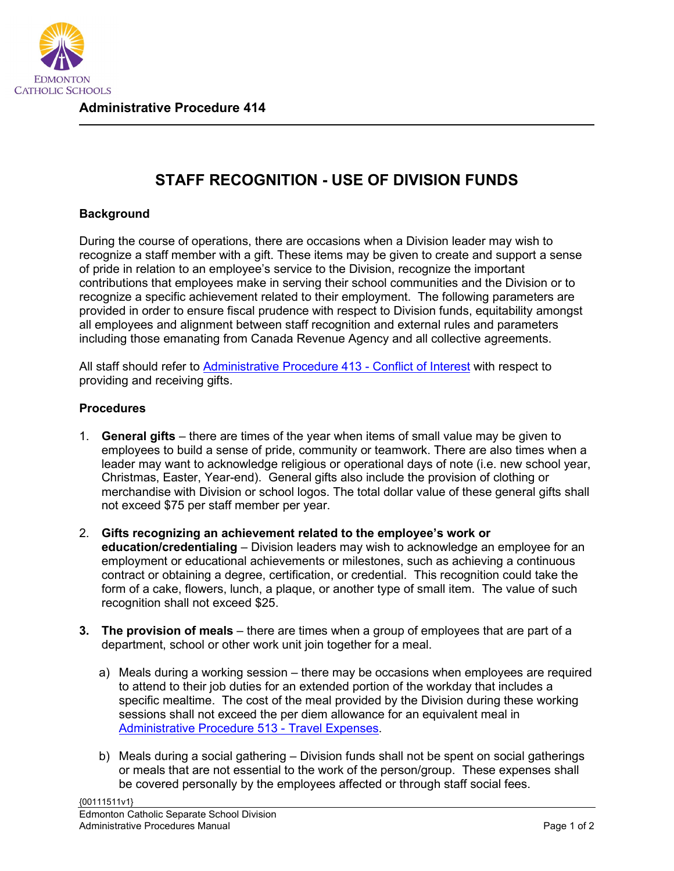

**Administrative Procedure 414**

## **STAFF RECOGNITION - USE OF DIVISION FUNDS**

## **Background**

During the course of operations, there are occasions when a Division leader may wish to recognize a staff member with a gift. These items may be given to create and support a sense of pride in relation to an employee's service to the Division, recognize the important contributions that employees make in serving their school communities and the Division or to recognize a specific achievement related to their employment. The following parameters are provided in order to ensure fiscal prudence with respect to Division funds, equitability amongst all employees and alignment between staff recognition and external rules and parameters including those emanating from Canada Revenue Agency and all collective agreements.

All staff should refer to [Administrative Procedure 413 -](https://sbecsdstor.blob.core.windows.net/media/Default/medialib/ap-413.64ba6210491.PDF) Conflict of Interest with respect to providing and receiving gifts.

## **Procedures**

- 1. **General gifts** there are times of the year when items of small value may be given to employees to build a sense of pride, community or teamwork. There are also times when a leader may want to acknowledge religious or operational days of note (i.e. new school year, Christmas, Easter, Year-end). General gifts also include the provision of clothing or merchandise with Division or school logos. The total dollar value of these general gifts shall not exceed \$75 per staff member per year.
- 2. **Gifts recognizing an achievement related to the employee's work or education/credentialing** – Division leaders may wish to acknowledge an employee for an employment or educational achievements or milestones, such as achieving a continuous contract or obtaining a degree, certification, or credential. This recognition could take the form of a cake, flowers, lunch, a plaque, or another type of small item. The value of such recognition shall not exceed \$25.
- **3. The provision of meals** there are times when a group of employees that are part of a department, school or other work unit join together for a meal.
	- a) Meals during a working session there may be occasions when employees are required to attend to their job duties for an extended portion of the workday that includes a specific mealtime. The cost of the meal provided by the Division during these working sessions shall not exceed the per diem allowance for an equivalent meal in [Administrative Procedure 513 -](https://sbecsdstor.blob.core.windows.net/media/Default/medialib/06732d7702.PDF) Travel Expenses.
	- b) Meals during a social gathering Division funds shall not be spent on social gatherings or meals that are not essential to the work of the person/group. These expenses shall be covered personally by the employees affected or through staff social fees.